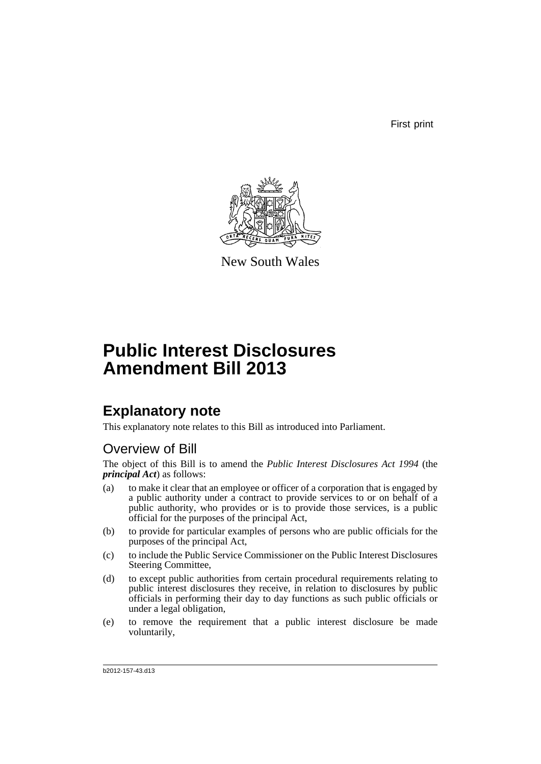First print



New South Wales

# **Public Interest Disclosures Amendment Bill 2013**

## **Explanatory note**

This explanatory note relates to this Bill as introduced into Parliament.

## Overview of Bill

The object of this Bill is to amend the *Public Interest Disclosures Act 1994* (the *principal Act*) as follows:

- (a) to make it clear that an employee or officer of a corporation that is engaged by a public authority under a contract to provide services to or on behalf of a public authority, who provides or is to provide those services, is a public official for the purposes of the principal Act,
- (b) to provide for particular examples of persons who are public officials for the purposes of the principal Act,
- (c) to include the Public Service Commissioner on the Public Interest Disclosures Steering Committee,
- (d) to except public authorities from certain procedural requirements relating to public interest disclosures they receive, in relation to disclosures by public officials in performing their day to day functions as such public officials or under a legal obligation,
- (e) to remove the requirement that a public interest disclosure be made voluntarily,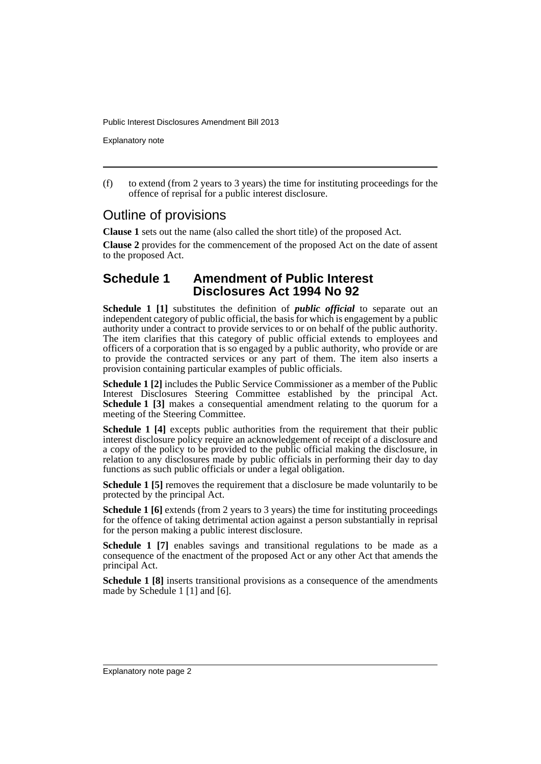Explanatory note

(f) to extend (from 2 years to 3 years) the time for instituting proceedings for the offence of reprisal for a public interest disclosure.

### Outline of provisions

**Clause 1** sets out the name (also called the short title) of the proposed Act.

**Clause 2** provides for the commencement of the proposed Act on the date of assent to the proposed Act.

#### **Schedule 1 Amendment of Public Interest Disclosures Act 1994 No 92**

**Schedule 1 [1]** substitutes the definition of *public official* to separate out an independent category of public official, the basis for which is engagement by a public authority under a contract to provide services to or on behalf of the public authority. The item clarifies that this category of public official extends to employees and officers of a corporation that is so engaged by a public authority, who provide or are to provide the contracted services or any part of them. The item also inserts a provision containing particular examples of public officials.

**Schedule 1 [2]** includes the Public Service Commissioner as a member of the Public Interest Disclosures Steering Committee established by the principal Act. **Schedule 1 [3]** makes a consequential amendment relating to the quorum for a meeting of the Steering Committee.

**Schedule 1 [4]** excepts public authorities from the requirement that their public interest disclosure policy require an acknowledgement of receipt of a disclosure and a copy of the policy to be provided to the public official making the disclosure, in relation to any disclosures made by public officials in performing their day to day functions as such public officials or under a legal obligation.

**Schedule 1 [5]** removes the requirement that a disclosure be made voluntarily to be protected by the principal Act.

**Schedule 1 [6]** extends (from 2 years to 3 years) the time for instituting proceedings for the offence of taking detrimental action against a person substantially in reprisal for the person making a public interest disclosure.

**Schedule 1 [7]** enables savings and transitional regulations to be made as a consequence of the enactment of the proposed Act or any other Act that amends the principal Act.

**Schedule 1 [8]** inserts transitional provisions as a consequence of the amendments made by Schedule 1 [1] and [6].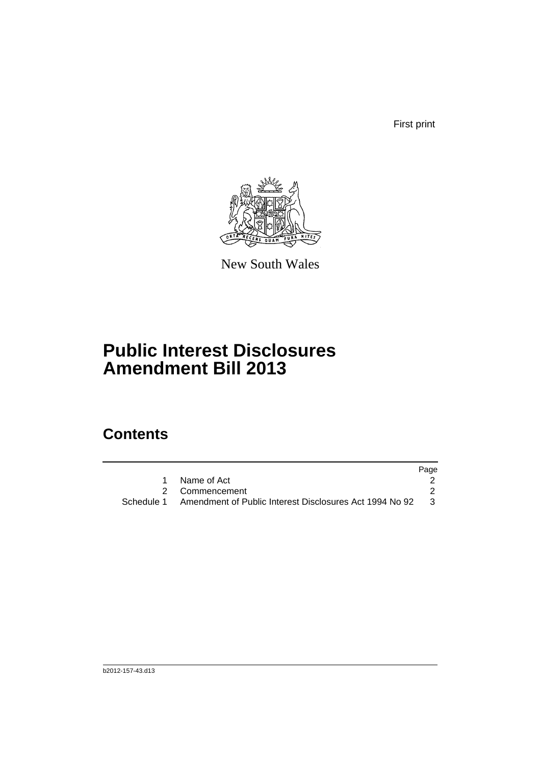First print



New South Wales

# **Public Interest Disclosures Amendment Bill 2013**

## **Contents**

| Name of Act                                                          |     |
|----------------------------------------------------------------------|-----|
| 2 Commencement                                                       |     |
| Schedule 1   Amendment of Public Interest Disclosures Act 1994 No 92 | - 3 |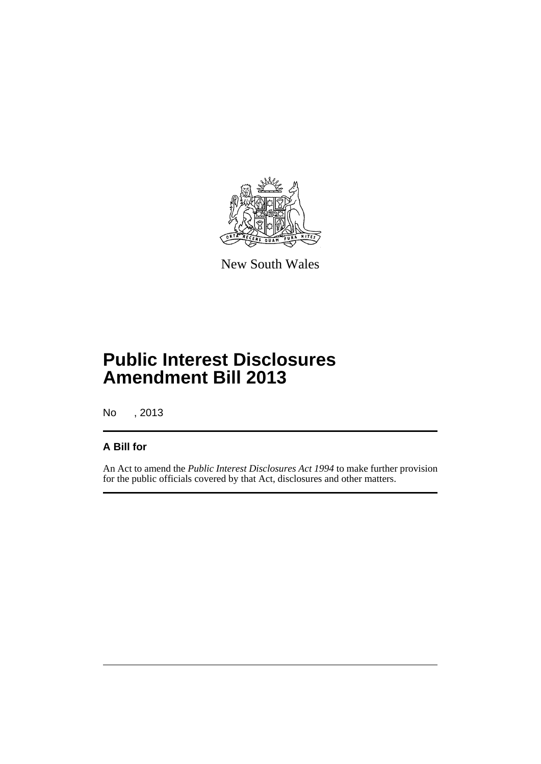

New South Wales

# **Public Interest Disclosures Amendment Bill 2013**

No , 2013

#### **A Bill for**

An Act to amend the *Public Interest Disclosures Act 1994* to make further provision for the public officials covered by that Act, disclosures and other matters.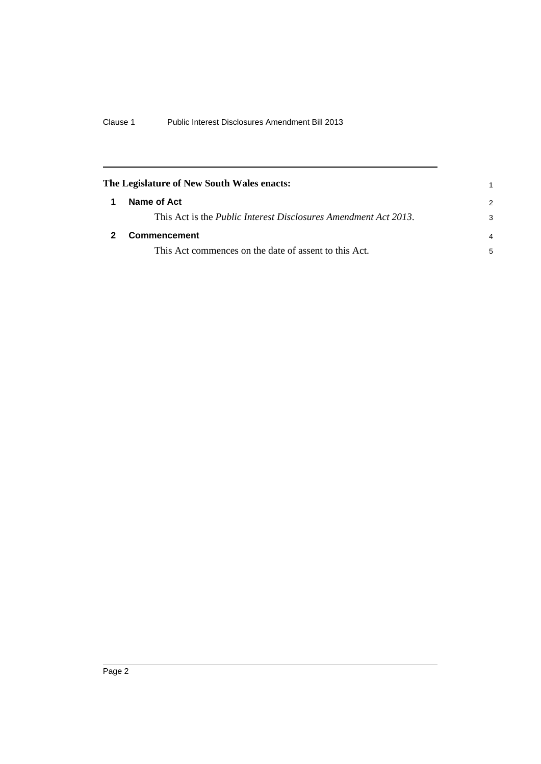<span id="page-5-1"></span><span id="page-5-0"></span>

| The Legislature of New South Wales enacts:                              |                |
|-------------------------------------------------------------------------|----------------|
| Name of Act                                                             | $\mathcal{P}$  |
| This Act is the <i>Public Interest Disclosures Amendment Act 2013</i> . | 3              |
| <b>Commencement</b>                                                     | $\overline{4}$ |
| This Act commences on the date of assent to this Act.                   | 5              |
|                                                                         |                |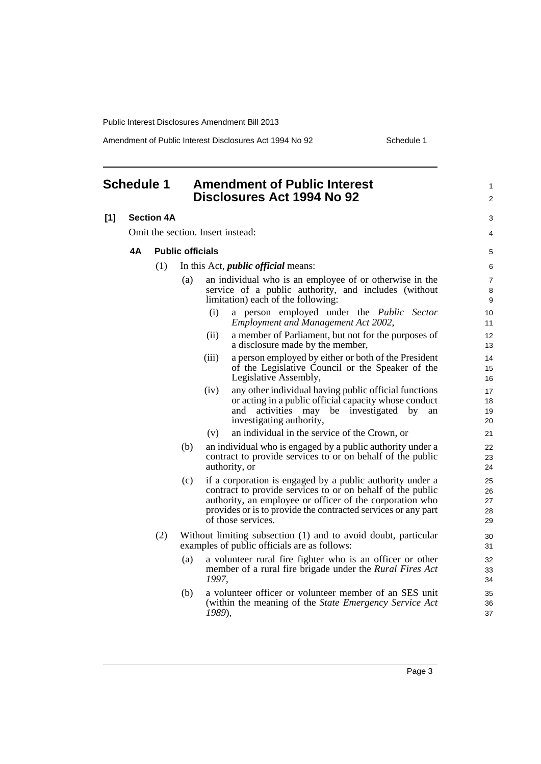Amendment of Public Interest Disclosures Act 1994 No 92 Schedule 1

<span id="page-6-0"></span>

| <b>Schedule 1</b> |                                   | <b>Amendment of Public Interest</b><br>Disclosures Act 1994 No 92 |                                            |        | 1<br>$\overline{c}$                                                                                                                                                                                                                                                        |                            |  |
|-------------------|-----------------------------------|-------------------------------------------------------------------|--------------------------------------------|--------|----------------------------------------------------------------------------------------------------------------------------------------------------------------------------------------------------------------------------------------------------------------------------|----------------------------|--|
| [1]               | <b>Section 4A</b>                 |                                                                   |                                            |        |                                                                                                                                                                                                                                                                            |                            |  |
|                   | Omit the section. Insert instead: |                                                                   |                                            |        |                                                                                                                                                                                                                                                                            |                            |  |
|                   | 4A                                | <b>Public officials</b>                                           |                                            |        |                                                                                                                                                                                                                                                                            |                            |  |
|                   |                                   | (1)                                                               | In this Act, <i>public official</i> means: |        |                                                                                                                                                                                                                                                                            | 6                          |  |
|                   |                                   |                                                                   | (a)                                        |        | an individual who is an employee of or otherwise in the<br>service of a public authority, and includes (without<br>limitation) each of the following:                                                                                                                      | 7<br>8<br>9                |  |
|                   |                                   |                                                                   |                                            | (i)    | a person employed under the Public<br>Sector<br><b>Employment and Management Act 2002,</b>                                                                                                                                                                                 | 10<br>11                   |  |
|                   |                                   |                                                                   |                                            | (ii)   | a member of Parliament, but not for the purposes of<br>a disclosure made by the member,                                                                                                                                                                                    | 12<br>13                   |  |
|                   |                                   |                                                                   |                                            | (iii)  | a person employed by either or both of the President<br>of the Legislative Council or the Speaker of the<br>Legislative Assembly,                                                                                                                                          | 14<br>15<br>16             |  |
|                   |                                   |                                                                   |                                            | (iv)   | any other individual having public official functions<br>or acting in a public official capacity whose conduct<br>activities may be investigated by<br>and<br>an<br>investigating authority,                                                                               | 17<br>18<br>19<br>20       |  |
|                   |                                   |                                                                   |                                            | (v)    | an individual in the service of the Crown, or                                                                                                                                                                                                                              | 21                         |  |
|                   |                                   |                                                                   | (b)                                        |        | an individual who is engaged by a public authority under a<br>contract to provide services to or on behalf of the public<br>authority, or                                                                                                                                  | 22<br>23<br>24             |  |
|                   |                                   |                                                                   | (c)                                        |        | if a corporation is engaged by a public authority under a<br>contract to provide services to or on behalf of the public<br>authority, an employee or officer of the corporation who<br>provides or is to provide the contracted services or any part<br>of those services. | 25<br>26<br>27<br>28<br>29 |  |
|                   |                                   | (2)                                                               |                                            |        | Without limiting subsection (1) and to avoid doubt, particular<br>examples of public officials are as follows:                                                                                                                                                             | 30<br>31                   |  |
|                   |                                   |                                                                   | (a)                                        | 1997,  | a volunteer rural fire fighter who is an officer or other<br>member of a rural fire brigade under the <i>Rural Fires Act</i>                                                                                                                                               | 32<br>33<br>34             |  |
|                   |                                   |                                                                   | (b)                                        | 1989), | a volunteer officer or volunteer member of an SES unit<br>(within the meaning of the State Emergency Service Act                                                                                                                                                           | 35<br>36<br>37             |  |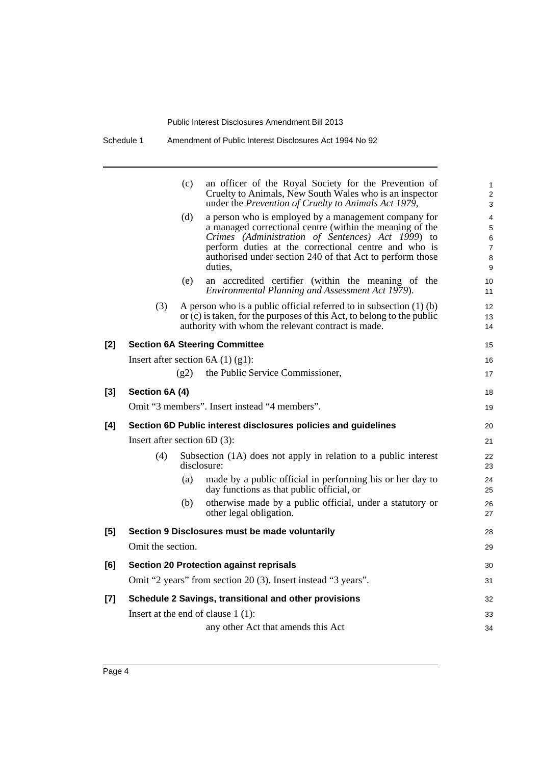|     |                                                               | (c)  | an officer of the Royal Society for the Prevention of<br>Cruelty to Animals, New South Wales who is an inspector<br>under the Prevention of Cruelty to Animals Act 1979,                                                                                                                              | $\mathbf{1}$<br>$\overline{2}$<br>3                  |  |  |  |
|-----|---------------------------------------------------------------|------|-------------------------------------------------------------------------------------------------------------------------------------------------------------------------------------------------------------------------------------------------------------------------------------------------------|------------------------------------------------------|--|--|--|
|     |                                                               | (d)  | a person who is employed by a management company for<br>a managed correctional centre (within the meaning of the<br>Crimes (Administration of Sentences) Act 1999) to<br>perform duties at the correctional centre and who is<br>authorised under section 240 of that Act to perform those<br>duties. | $\overline{4}$<br>5<br>6<br>$\overline{7}$<br>8<br>9 |  |  |  |
|     |                                                               | (e)  | an accredited certifier (within the meaning of the<br>Environmental Planning and Assessment Act 1979).                                                                                                                                                                                                | 10<br>11                                             |  |  |  |
|     | (3)                                                           |      | A person who is a public official referred to in subsection $(1)$ (b)<br>or $(c)$ is taken, for the purposes of this Act, to belong to the public<br>authority with whom the relevant contract is made.                                                                                               | 12<br>13<br>14                                       |  |  |  |
| [2] |                                                               |      | <b>Section 6A Steering Committee</b>                                                                                                                                                                                                                                                                  | 15                                                   |  |  |  |
|     |                                                               |      | Insert after section $6A(1)(g1)$ :                                                                                                                                                                                                                                                                    | 16                                                   |  |  |  |
|     |                                                               | (g2) | the Public Service Commissioner,                                                                                                                                                                                                                                                                      | 17                                                   |  |  |  |
| [3] | Section 6A (4)                                                |      |                                                                                                                                                                                                                                                                                                       | 18                                                   |  |  |  |
|     |                                                               |      | Omit "3 members". Insert instead "4 members".                                                                                                                                                                                                                                                         | 19                                                   |  |  |  |
| [4] |                                                               |      | Section 6D Public interest disclosures policies and guidelines                                                                                                                                                                                                                                        | 20                                                   |  |  |  |
|     | Insert after section $6D(3)$ :                                |      |                                                                                                                                                                                                                                                                                                       |                                                      |  |  |  |
|     | (4)                                                           |      | Subsection (1A) does not apply in relation to a public interest<br>disclosure:                                                                                                                                                                                                                        | 22<br>23                                             |  |  |  |
|     |                                                               | (a)  | made by a public official in performing his or her day to<br>day functions as that public official, or                                                                                                                                                                                                | 24<br>25                                             |  |  |  |
|     |                                                               | (b)  | otherwise made by a public official, under a statutory or<br>other legal obligation.                                                                                                                                                                                                                  | 26<br>27                                             |  |  |  |
| [5] | Section 9 Disclosures must be made voluntarily                |      |                                                                                                                                                                                                                                                                                                       |                                                      |  |  |  |
|     | Omit the section.                                             |      |                                                                                                                                                                                                                                                                                                       | 29                                                   |  |  |  |
| [6] | <b>Section 20 Protection against reprisals</b>                |      |                                                                                                                                                                                                                                                                                                       |                                                      |  |  |  |
|     | Omit "2 years" from section 20 (3). Insert instead "3 years". |      |                                                                                                                                                                                                                                                                                                       |                                                      |  |  |  |
| [7] | Schedule 2 Savings, transitional and other provisions         |      |                                                                                                                                                                                                                                                                                                       |                                                      |  |  |  |
|     |                                                               |      | Insert at the end of clause $1(1)$ :                                                                                                                                                                                                                                                                  | 33                                                   |  |  |  |
|     |                                                               |      | any other Act that amends this Act                                                                                                                                                                                                                                                                    | 34                                                   |  |  |  |